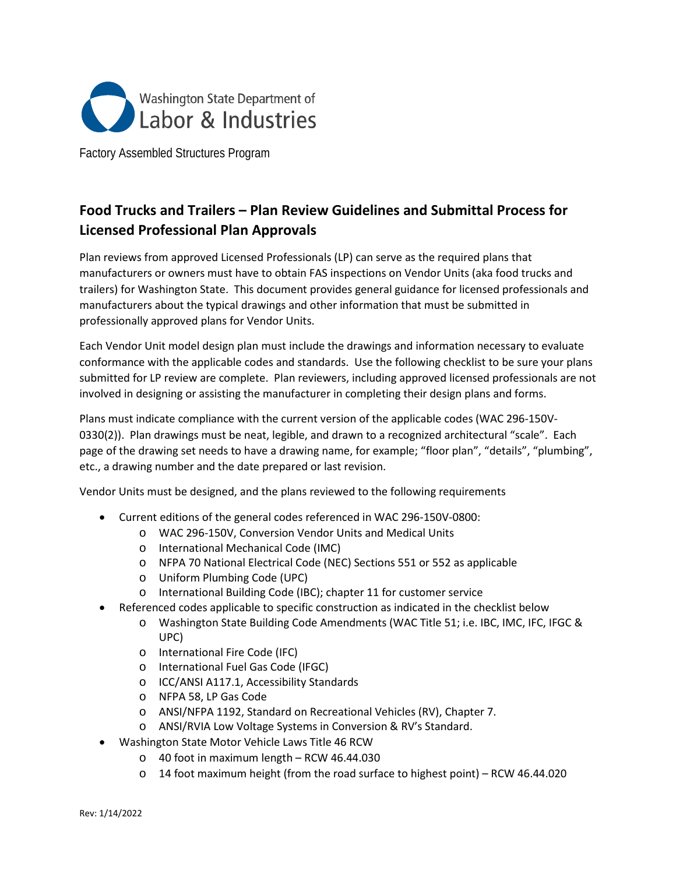

Factory Assembled Structures Program

# **Food Trucks and Trailers – Plan Review Guidelines and Submittal Process for Licensed Professional Plan Approvals**

Plan reviews from approved Licensed Professionals (LP) can serve as the required plans that manufacturers or owners must have to obtain FAS inspections on Vendor Units (aka food trucks and trailers) for Washington State. This document provides general guidance for licensed professionals and manufacturers about the typical drawings and other information that must be submitted in professionally approved plans for Vendor Units.

Each Vendor Unit model design plan must include the drawings and information necessary to evaluate conformance with the applicable codes and standards. Use the following checklist to be sure your plans submitted for LP review are complete. Plan reviewers, including approved licensed professionals are not involved in designing or assisting the manufacturer in completing their design plans and forms.

Plans must indicate compliance with the current version of the applicable codes (WAC 296-150V-0330(2)). Plan drawings must be neat, legible, and drawn to a recognized architectural "scale". Each page of the drawing set needs to have a drawing name, for example; "floor plan", "details", "plumbing", etc., a drawing number and the date prepared or last revision.

Vendor Units must be designed, and the plans reviewed to the following requirements

- Current editions of the general codes referenced in WAC 296-150V-0800:
	- o WAC 296-150V, Conversion Vendor Units and Medical Units
	- o International Mechanical Code (IMC)
	- o NFPA 70 National Electrical Code (NEC) Sections 551 or 552 as applicable
	- o Uniform Plumbing Code (UPC)
	- o International Building Code (IBC); chapter 11 for customer service
- Referenced codes applicable to specific construction as indicated in the checklist below
	- o Washington State Building Code Amendments (WAC Title 51; i.e. IBC, IMC, IFC, IFGC & UPC)
	- o International Fire Code (IFC)
	- o International Fuel Gas Code (IFGC)
	- o ICC/ANSI A117.1, Accessibility Standards
	- o NFPA 58, LP Gas Code
	- o ANSI/NFPA 1192, Standard on Recreational Vehicles (RV), Chapter 7.
	- o ANSI/RVIA Low Voltage Systems in Conversion & RV's Standard.
- Washington State Motor Vehicle Laws Title 46 RCW
	- o 40 foot in maximum length RCW 46.44.030
	- o 14 foot maximum height (from the road surface to highest point) RCW 46.44.020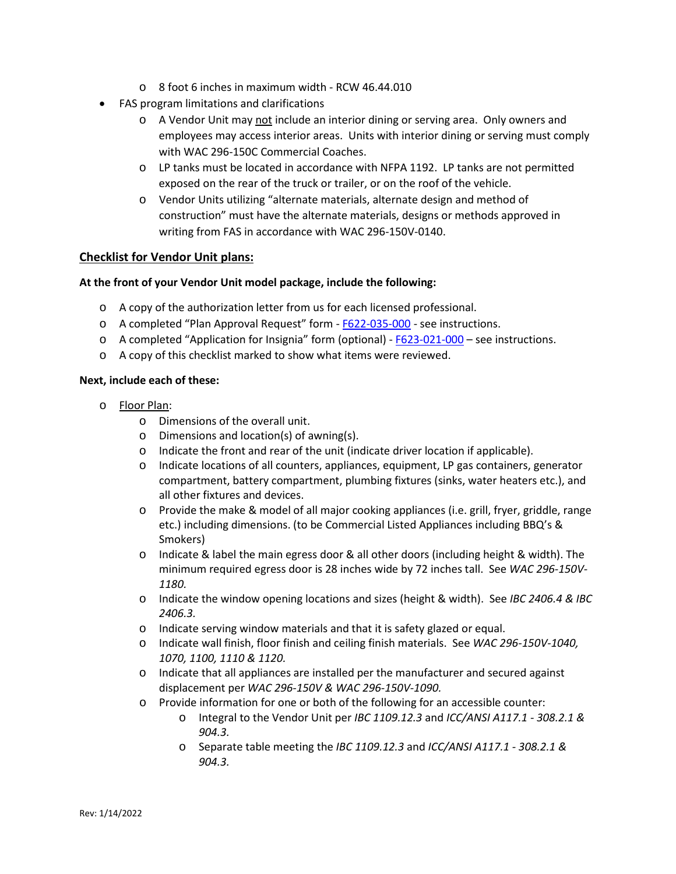- o 8 foot 6 inches in maximum width RCW 46.44.010
- FAS program limitations and clarifications
	- o A Vendor Unit may not include an interior dining or serving area. Only owners and employees may access interior areas. Units with interior dining or serving must comply with WAC 296-150C Commercial Coaches.
	- o LP tanks must be located in accordance with NFPA 1192. LP tanks are not permitted exposed on the rear of the truck or trailer, or on the roof of the vehicle.
	- o Vendor Units utilizing "alternate materials, alternate design and method of construction" must have the alternate materials, designs or methods approved in writing from FAS in accordance with WAC 296-150V-0140.

## **Checklist for Vendor Unit plans:**

## **At the front of your Vendor Unit model package, include the following:**

- o A copy of the authorization letter from us for each licensed professional.
- o A completed "Plan Approval Request" form [F622-035-000](https://lni.wa.gov/forms-publications/F622-035-000.pdf) see instructions.
- o A completed "Application for Insignia" form (optional) [F623-021-000](https://lni.wa.gov/forms-publications/F623-021-000.pdf) see instructions.
- o A copy of this checklist marked to show what items were reviewed.

#### **Next, include each of these:**

- o Floor Plan:
	- o Dimensions of the overall unit.
	- o Dimensions and location(s) of awning(s).
	- $\circ$  Indicate the front and rear of the unit (indicate driver location if applicable).
	- o Indicate locations of all counters, appliances, equipment, LP gas containers, generator compartment, battery compartment, plumbing fixtures (sinks, water heaters etc.), and all other fixtures and devices.
	- o Provide the make & model of all major cooking appliances (i.e. grill, fryer, griddle, range etc.) including dimensions. (to be Commercial Listed Appliances including BBQ's & Smokers)
	- $\circ$  Indicate & label the main egress door & all other doors (including height & width). The minimum required egress door is 28 inches wide by 72 inches tall. See *WAC 296-150V-1180.*
	- o Indicate the window opening locations and sizes (height & width). See *IBC 2406.4 & IBC 2406.3.*
	- o Indicate serving window materials and that it is safety glazed or equal.
	- o Indicate wall finish, floor finish and ceiling finish materials. See *WAC 296-150V-1040, 1070, 1100, 1110 & 1120.*
	- o Indicate that all appliances are installed per the manufacturer and secured against displacement per *WAC 296-150V & WAC 296-150V-1090.*
	- o Provide information for one or both of the following for an accessible counter:
		- o Integral to the Vendor Unit per *IBC 1109.12.3* and *ICC/ANSI A117.1 - 308.2.1 & 904.3.*
		- o Separate table meeting the *IBC 1109.12.3* and *ICC/ANSI A117.1 - 308.2.1 & 904.3.*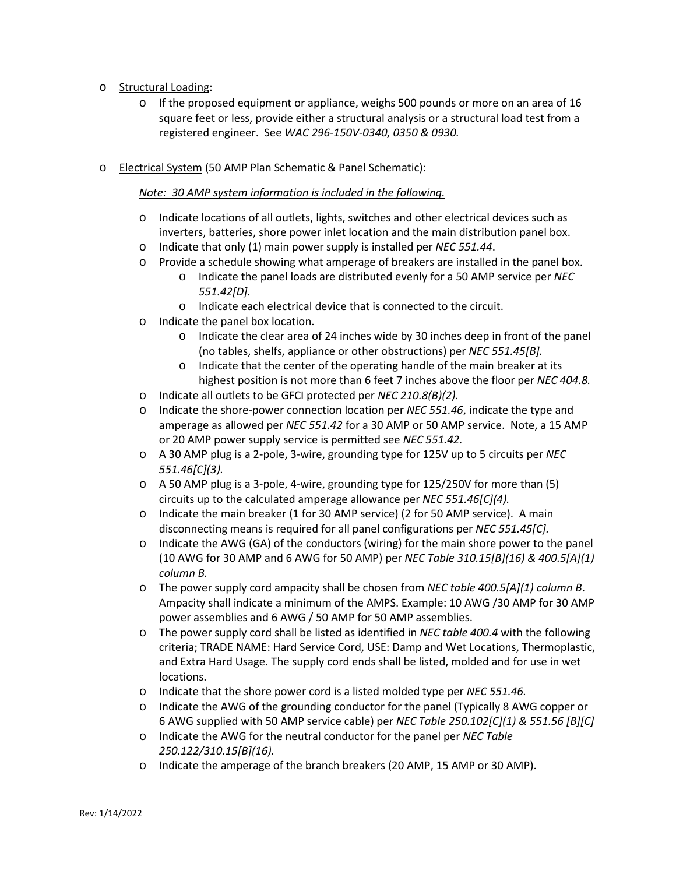- o Structural Loading:
	- $\circ$  If the proposed equipment or appliance, weighs 500 pounds or more on an area of 16 square feet or less, provide either a structural analysis or a structural load test from a registered engineer. See *WAC 296-150V-0340, 0350 & 0930.*
- o Electrical System (50 AMP Plan Schematic & Panel Schematic):

#### *Note: 30 AMP system information is included in the following.*

- o Indicate locations of all outlets, lights, switches and other electrical devices such as inverters, batteries, shore power inlet location and the main distribution panel box.
- o Indicate that only (1) main power supply is installed per *NEC 551.44*.
- o Provide a schedule showing what amperage of breakers are installed in the panel box.
	- o Indicate the panel loads are distributed evenly for a 50 AMP service per *NEC 551.42[D].*
	- o Indicate each electrical device that is connected to the circuit.
- o Indicate the panel box location.
	- $\circ$  Indicate the clear area of 24 inches wide by 30 inches deep in front of the panel (no tables, shelfs, appliance or other obstructions) per *NEC 551.45[B].*
	- o Indicate that the center of the operating handle of the main breaker at its highest position is not more than 6 feet 7 inches above the floor per *NEC 404.8.*
- o Indicate all outlets to be GFCI protected per *NEC 210.8(B)(2).*
- o Indicate the shore-power connection location per *NEC 551.46*, indicate the type and amperage as allowed per *NEC 551.42* for a 30 AMP or 50 AMP service. Note, a 15 AMP or 20 AMP power supply service is permitted see *NEC 551.42.*
- o A 30 AMP plug is a 2-pole, 3-wire, grounding type for 125V up to 5 circuits per *NEC 551.46[C](3).*
- o A 50 AMP plug is a 3-pole, 4-wire, grounding type for 125/250V for more than (5) circuits up to the calculated amperage allowance per *NEC 551.46[C](4).*
- o Indicate the main breaker (1 for 30 AMP service) (2 for 50 AMP service). A main disconnecting means is required for all panel configurations per *NEC 551.45[C].*
- $\circ$  Indicate the AWG (GA) of the conductors (wiring) for the main shore power to the panel (10 AWG for 30 AMP and 6 AWG for 50 AMP) per *NEC Table 310.15[B](16) & 400.5[A](1) column B.*
- o The power supply cord ampacity shall be chosen from *NEC table 400.5[A](1) column B*. Ampacity shall indicate a minimum of the AMPS. Example: 10 AWG /30 AMP for 30 AMP power assemblies and 6 AWG / 50 AMP for 50 AMP assemblies.
- o The power supply cord shall be listed as identified in *NEC table 400.4* with the following criteria; TRADE NAME: Hard Service Cord, USE: Damp and Wet Locations, Thermoplastic, and Extra Hard Usage. The supply cord ends shall be listed, molded and for use in wet locations.
- o Indicate that the shore power cord is a listed molded type per *NEC 551.46.*
- o Indicate the AWG of the grounding conductor for the panel (Typically 8 AWG copper or 6 AWG supplied with 50 AMP service cable) per *NEC Table 250.102[C](1) & 551.56 [B][C]*
- o Indicate the AWG for the neutral conductor for the panel per *NEC Table 250.122/310.15[B](16).*
- o Indicate the amperage of the branch breakers (20 AMP, 15 AMP or 30 AMP).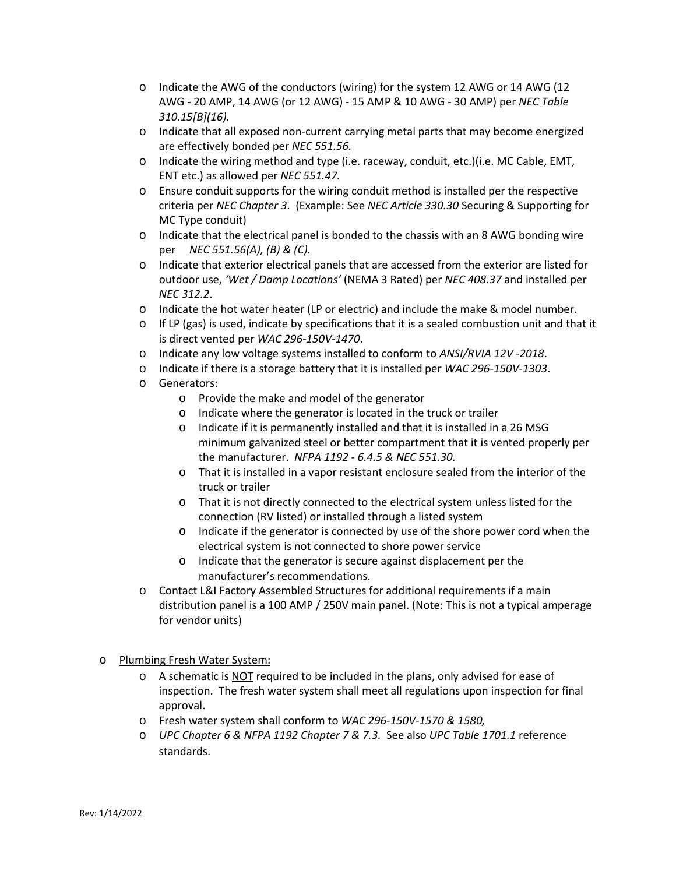- $\circ$  Indicate the AWG of the conductors (wiring) for the system 12 AWG or 14 AWG (12 AWG - 20 AMP, 14 AWG (or 12 AWG) - 15 AMP & 10 AWG - 30 AMP) per *NEC Table 310.15[B](16).*
- o Indicate that all exposed non-current carrying metal parts that may become energized are effectively bonded per *NEC 551.56.*
- o Indicate the wiring method and type (i.e. raceway, conduit, etc.)(i.e. MC Cable, EMT, ENT etc.) as allowed per *NEC 551.47.*
- o Ensure conduit supports for the wiring conduit method is installed per the respective criteria per *NEC Chapter 3*. (Example: See *NEC Article 330.30* Securing & Supporting for MC Type conduit)
- o Indicate that the electrical panel is bonded to the chassis with an 8 AWG bonding wire per *NEC 551.56(A), (B) & (C).*
- o Indicate that exterior electrical panels that are accessed from the exterior are listed for outdoor use, *'Wet / Damp Locations'* (NEMA 3 Rated) per *NEC 408.37* and installed per *NEC 312.2*.
- $\circ$  Indicate the hot water heater (LP or electric) and include the make & model number.
- $\circ$  If LP (gas) is used, indicate by specifications that it is a sealed combustion unit and that it is direct vented per *WAC 296-150V-1470*.
- o Indicate any low voltage systems installed to conform to *ANSI/RVIA 12V -2018*.
- o Indicate if there is a storage battery that it is installed per *WAC 296-150V-1303*.
- o Generators:
	- o Provide the make and model of the generator
	- o Indicate where the generator is located in the truck or trailer
	- o Indicate if it is permanently installed and that it is installed in a 26 MSG minimum galvanized steel or better compartment that it is vented properly per the manufacturer. *NFPA 1192 - 6.4.5 & NEC 551.30.*
	- o That it is installed in a vapor resistant enclosure sealed from the interior of the truck or trailer
	- o That it is not directly connected to the electrical system unless listed for the connection (RV listed) or installed through a listed system
	- o Indicate if the generator is connected by use of the shore power cord when the electrical system is not connected to shore power service
	- o Indicate that the generator is secure against displacement per the manufacturer's recommendations.
- o Contact L&I Factory Assembled Structures for additional requirements if a main distribution panel is a 100 AMP / 250V main panel. (Note: This is not a typical amperage for vendor units)
- o Plumbing Fresh Water System:
	- $\circ$  A schematic is NOT required to be included in the plans, only advised for ease of inspection. The fresh water system shall meet all regulations upon inspection for final approval.
	- o Fresh water system shall conform to *WAC 296-150V-1570 & 1580,*
	- o *UPC Chapter 6 & NFPA 1192 Chapter 7 & 7.3.* See also *UPC Table 1701.1* reference standards.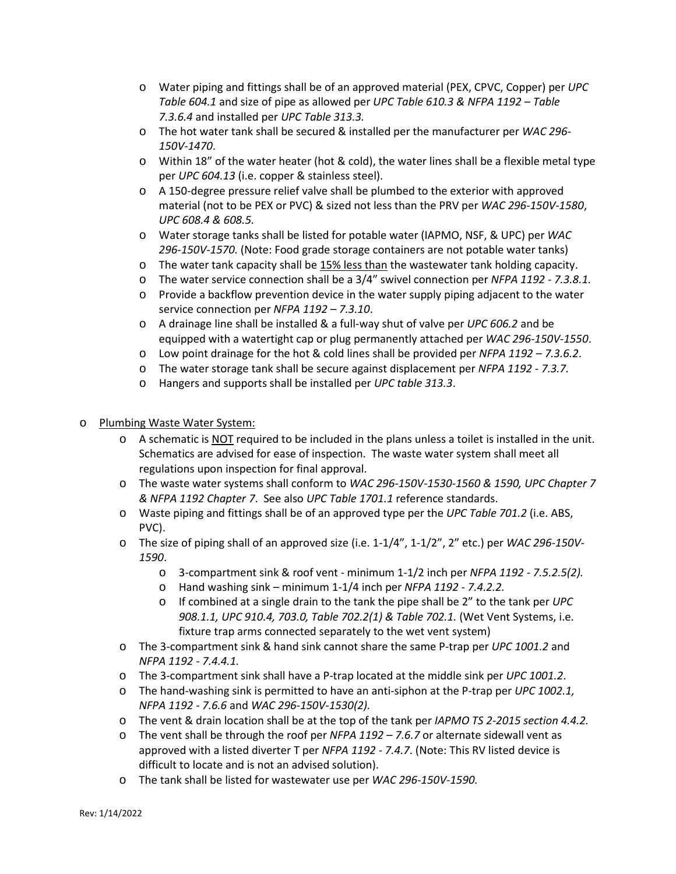- o Water piping and fittings shall be of an approved material (PEX, CPVC, Copper) per *UPC Table 604.1* and size of pipe as allowed per *UPC Table 610.3 & NFPA 1192 – Table 7.3.6.4* and installed per *UPC Table 313.3.*
- o The hot water tank shall be secured & installed per the manufacturer per *WAC 296- 150V-1470*.
- o Within 18" of the water heater (hot & cold), the water lines shall be a flexible metal type per *UPC 604.13* (i.e. copper & stainless steel).
- o A 150-degree pressure relief valve shall be plumbed to the exterior with approved material (not to be PEX or PVC) & sized not less than the PRV per *WAC 296-150V-1580*, *UPC 608.4 & 608.5.*
- o Water storage tanks shall be listed for potable water (IAPMO, NSF, & UPC) per *WAC 296-150V-1570.* (Note: Food grade storage containers are not potable water tanks)
- o The water tank capacity shall be 15% less than the wastewater tank holding capacity.
- o The water service connection shall be a 3/4" swivel connection per *NFPA 1192 - 7.3.8.1.*
- $\circ$  Provide a backflow prevention device in the water supply piping adjacent to the water service connection per *NFPA 1192 – 7.3.10*.
- o A drainage line shall be installed & a full-way shut of valve per *UPC 606.2* and be equipped with a watertight cap or plug permanently attached per *WAC 296-150V-1550*.
- o Low point drainage for the hot & cold lines shall be provided per *NFPA 1192 – 7.3.6.2*.
- o The water storage tank shall be secure against displacement per *NFPA 1192 - 7.3.7.*
- o Hangers and supports shall be installed per *UPC table 313.3*.
- o Plumbing Waste Water System:
	- o A schematic is NOT required to be included in the plans unless a toilet is installed in the unit. Schematics are advised for ease of inspection. The waste water system shall meet all regulations upon inspection for final approval.
	- o The waste water systems shall conform to *WAC 296-150V-1530-1560 & 1590, UPC Chapter 7 & NFPA 1192 Chapter 7*. See also *UPC Table 1701.1* reference standards.
	- o Waste piping and fittings shall be of an approved type per the *UPC Table 701.2* (i.e. ABS, PVC).
	- o The size of piping shall of an approved size (i.e. 1-1/4", 1-1/2", 2" etc.) per *WAC 296-150V-1590*.
		- o 3-compartment sink & roof vent minimum 1-1/2 inch per *NFPA 1192 - 7.5.2.5(2).*
		- o Hand washing sink minimum 1-1/4 inch per *NFPA 1192 - 7.4.2.2.*
		- o If combined at a single drain to the tank the pipe shall be 2" to the tank per *UPC 908.1.1, UPC 910.4, 703.0, Table 702.2(1) & Table 702.1.* (Wet Vent Systems, i.e. fixture trap arms connected separately to the wet vent system)
	- o The 3-compartment sink & hand sink cannot share the same P-trap per *UPC 1001.2* and *NFPA 1192 - 7.4.4.1.*
	- o The 3-compartment sink shall have a P-trap located at the middle sink per *UPC 1001.2*.
	- o The hand-washing sink is permitted to have an anti-siphon at the P-trap per *UPC 1002.1, NFPA 1192 - 7.6.6* and *WAC 296-150V-1530(2).*
	- o The vent & drain location shall be at the top of the tank per *IAPMO TS 2-2015 section 4.4.2.*
	- o The vent shall be through the roof per *NFPA 1192 – 7.6.7* or alternate sidewall vent as approved with a listed diverter T per *NFPA 1192 - 7.4.7*. (Note: This RV listed device is difficult to locate and is not an advised solution).
	- o The tank shall be listed for wastewater use per *WAC 296-150V-1590.*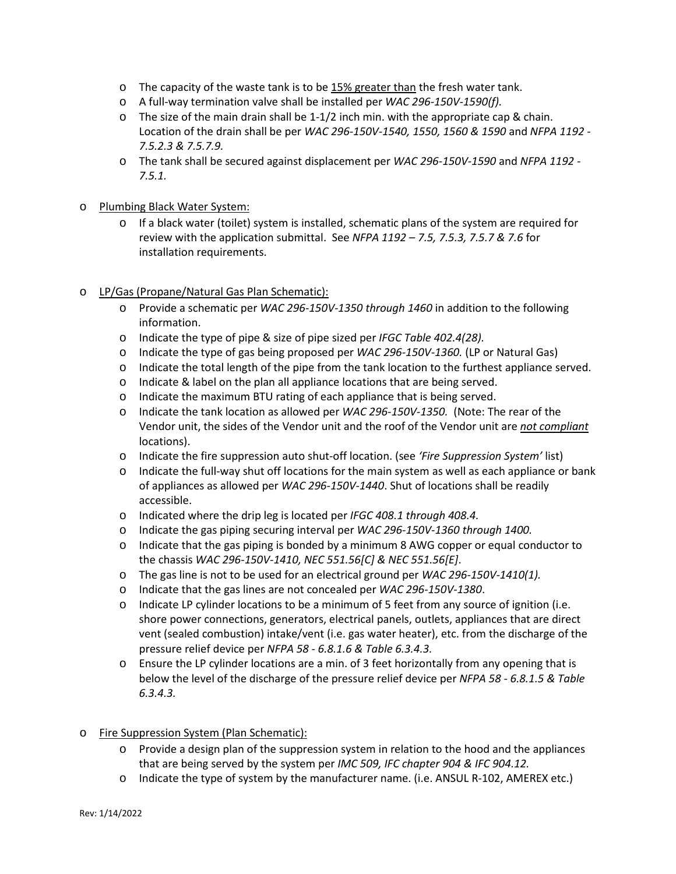- $\circ$  The capacity of the waste tank is to be 15% greater than the fresh water tank.
- o A full-way termination valve shall be installed per *WAC 296-150V-1590(f).*
- $\circ$  The size of the main drain shall be 1-1/2 inch min. with the appropriate cap & chain. Location of the drain shall be per *WAC 296-150V-1540, 1550, 1560 & 1590* and *NFPA 1192 - 7.5.2.3 & 7.5.7.9.*
- o The tank shall be secured against displacement per *WAC 296-150V-1590* and *NFPA 1192 - 7.5.1.*

## o Plumbing Black Water System:

o If a black water (toilet) system is installed, schematic plans of the system are required for review with the application submittal. See *NFPA 1192 – 7.5, 7.5.3, 7.5.7 & 7.6* for installation requirements.

## o LP/Gas (Propane/Natural Gas Plan Schematic):

- o Provide a schematic per *WAC 296-150V-1350 through 1460* in addition to the following information.
- o Indicate the type of pipe & size of pipe sized per *IFGC Table 402.4(28).*
- o Indicate the type of gas being proposed per *WAC 296-150V-1360.* (LP or Natural Gas)
- o Indicate the total length of the pipe from the tank location to the furthest appliance served.
- o Indicate & label on the plan all appliance locations that are being served.
- o Indicate the maximum BTU rating of each appliance that is being served.
- o Indicate the tank location as allowed per *WAC 296-150V-1350.* (Note: The rear of the Vendor unit, the sides of the Vendor unit and the roof of the Vendor unit are *not compliant* locations).
- o Indicate the fire suppression auto shut-off location. (see *'Fire Suppression System'* list)
- $\circ$  Indicate the full-way shut off locations for the main system as well as each appliance or bank of appliances as allowed per *WAC 296-150V-1440*. Shut of locations shall be readily accessible.
- o Indicated where the drip leg is located per *IFGC 408.1 through 408.4.*
- o Indicate the gas piping securing interval per *WAC 296-150V-1360 through 1400.*
- o Indicate that the gas piping is bonded by a minimum 8 AWG copper or equal conductor to the chassis *WAC 296-150V-1410, NEC 551.56[C] & NEC 551.56[E]*.
- o The gas line is not to be used for an electrical ground per *WAC 296-150V-1410(1).*
- o Indicate that the gas lines are not concealed per *WAC 296-150V-1380*.
- o Indicate LP cylinder locations to be a minimum of 5 feet from any source of ignition (i.e. shore power connections, generators, electrical panels, outlets, appliances that are direct vent (sealed combustion) intake/vent (i.e. gas water heater), etc. from the discharge of the pressure relief device per *NFPA 58 - 6.8.1.6 & Table 6.3.4.3.*
- o Ensure the LP cylinder locations are a min. of 3 feet horizontally from any opening that is below the level of the discharge of the pressure relief device per *NFPA 58 - 6.8.1.5 & Table 6.3.4.3.*

## o Fire Suppression System (Plan Schematic):

- o Provide a design plan of the suppression system in relation to the hood and the appliances that are being served by the system per *IMC 509, IFC chapter 904 & IFC 904.12.*
- o Indicate the type of system by the manufacturer name. (i.e. ANSUL R-102, AMEREX etc.)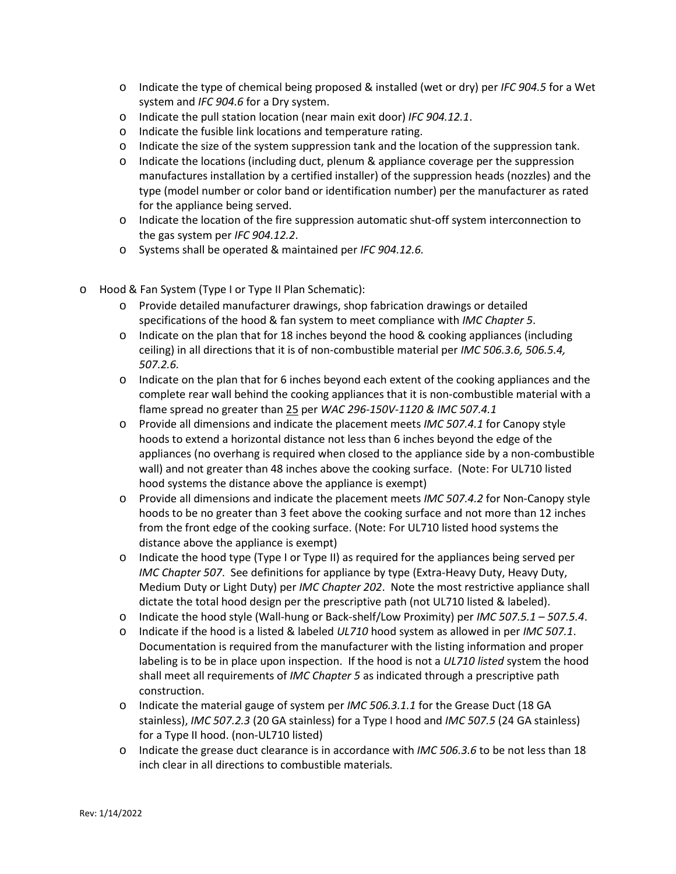- o Indicate the type of chemical being proposed & installed (wet or dry) per *IFC 904.5* for a Wet system and *IFC 904.6* for a Dry system.
- o Indicate the pull station location (near main exit door) *IFC 904.12.1*.
- o Indicate the fusible link locations and temperature rating.
- o Indicate the size of the system suppression tank and the location of the suppression tank.
- o Indicate the locations (including duct, plenum & appliance coverage per the suppression manufactures installation by a certified installer) of the suppression heads (nozzles) and the type (model number or color band or identification number) per the manufacturer as rated for the appliance being served.
- o Indicate the location of the fire suppression automatic shut-off system interconnection to the gas system per *IFC 904.12.2*.
- o Systems shall be operated & maintained per *IFC 904.12.6.*
- o Hood & Fan System (Type I or Type II Plan Schematic):
	- o Provide detailed manufacturer drawings, shop fabrication drawings or detailed specifications of the hood & fan system to meet compliance with *IMC Chapter 5*.
	- o Indicate on the plan that for 18 inches beyond the hood & cooking appliances (including ceiling) in all directions that it is of non-combustible material per *IMC 506.3.6, 506.5.4, 507.2.6.*
	- $\circ$  Indicate on the plan that for 6 inches beyond each extent of the cooking appliances and the complete rear wall behind the cooking appliances that it is non-combustible material with a flame spread no greater than 25 per *WAC 296-150V-1120 & IMC 507.4.1*
	- o Provide all dimensions and indicate the placement meets *IMC 507.4.1* for Canopy style hoods to extend a horizontal distance not less than 6 inches beyond the edge of the appliances (no overhang is required when closed to the appliance side by a non-combustible wall) and not greater than 48 inches above the cooking surface. (Note: For UL710 listed hood systems the distance above the appliance is exempt)
	- o Provide all dimensions and indicate the placement meets *IMC 507.4.2* for Non-Canopy style hoods to be no greater than 3 feet above the cooking surface and not more than 12 inches from the front edge of the cooking surface. (Note: For UL710 listed hood systems the distance above the appliance is exempt)
	- $\circ$  Indicate the hood type (Type I or Type II) as required for the appliances being served per *IMC Chapter 507*. See definitions for appliance by type (Extra-Heavy Duty, Heavy Duty, Medium Duty or Light Duty) per *IMC Chapter 202*. Note the most restrictive appliance shall dictate the total hood design per the prescriptive path (not UL710 listed & labeled).
	- o Indicate the hood style (Wall-hung or Back-shelf/Low Proximity) per *IMC 507.5.1 – 507.5.4*.
	- o Indicate if the hood is a listed & labeled *UL710* hood system as allowed in per *IMC 507.1*. Documentation is required from the manufacturer with the listing information and proper labeling is to be in place upon inspection. If the hood is not a *UL710 listed* system the hood shall meet all requirements of *IMC Chapter 5* as indicated through a prescriptive path construction.
	- o Indicate the material gauge of system per *IMC 506.3.1.1* for the Grease Duct (18 GA stainless), *IMC 507.2.3* (20 GA stainless) for a Type I hood and *IMC 507.5* (24 GA stainless) for a Type II hood. (non-UL710 listed)
	- o Indicate the grease duct clearance is in accordance with *IMC 506.3.6* to be not less than 18 inch clear in all directions to combustible materials*.*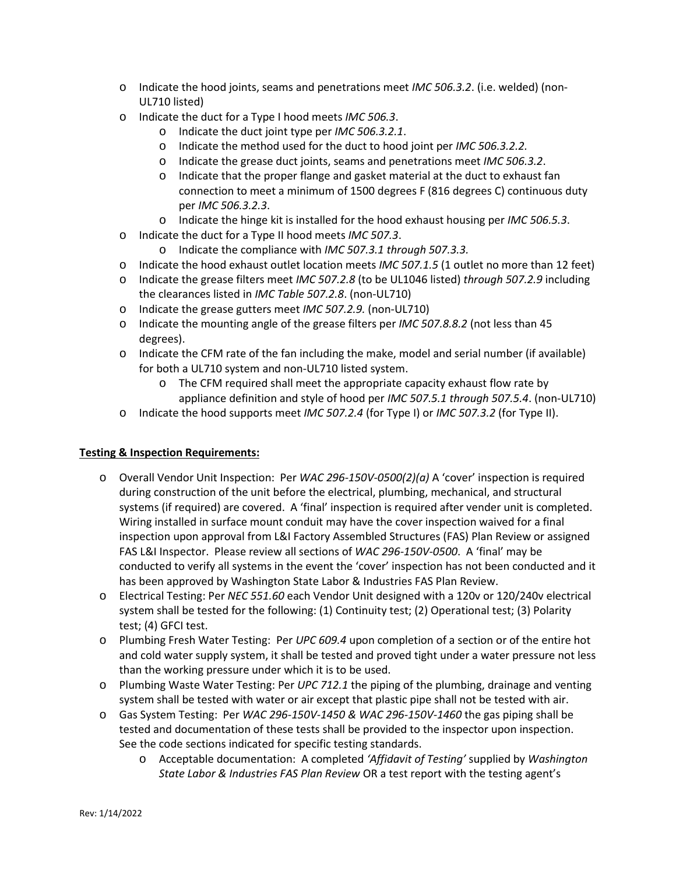- o Indicate the hood joints, seams and penetrations meet *IMC 506.3.2*. (i.e. welded) (non-UL710 listed)
- o Indicate the duct for a Type I hood meets *IMC 506.3*.
	- o Indicate the duct joint type per *IMC 506.3.2.1*.
	- o Indicate the method used for the duct to hood joint per *IMC 506.3.2.2.*
	- o Indicate the grease duct joints, seams and penetrations meet *IMC 506.3.2*.
	- o Indicate that the proper flange and gasket material at the duct to exhaust fan connection to meet a minimum of 1500 degrees F (816 degrees C) continuous duty per *IMC 506.3.2.3*.
	- o Indicate the hinge kit is installed for the hood exhaust housing per *IMC 506.5.3*.
- o Indicate the duct for a Type II hood meets *IMC 507.3*.
	- o Indicate the compliance with *IMC 507.3.1 through 507.3.3.*
- o Indicate the hood exhaust outlet location meets *IMC 507.1.5* (1 outlet no more than 12 feet)
- o Indicate the grease filters meet *IMC 507.2.8* (to be UL1046 listed) *through 507.2.9* including the clearances listed in *IMC Table 507.2.8*. (non-UL710)
- o Indicate the grease gutters meet *IMC 507.2.9.* (non-UL710)
- o Indicate the mounting angle of the grease filters per *IMC 507.8.8.2* (not less than 45 degrees).
- $\circ$  Indicate the CFM rate of the fan including the make, model and serial number (if available) for both a UL710 system and non-UL710 listed system.
	- o The CFM required shall meet the appropriate capacity exhaust flow rate by appliance definition and style of hood per *IMC 507.5.1 through 507.5.4*. (non-UL710)
- o Indicate the hood supports meet *IMC 507.2.4* (for Type I) or *IMC 507.3.2* (for Type II).

## **Testing & Inspection Requirements:**

- o Overall Vendor Unit Inspection: Per *WAC 296-150V-0500(2)(a)* A 'cover' inspection is required during construction of the unit before the electrical, plumbing, mechanical, and structural systems (if required) are covered. A 'final' inspection is required after vender unit is completed. Wiring installed in surface mount conduit may have the cover inspection waived for a final inspection upon approval from L&I Factory Assembled Structures (FAS) Plan Review or assigned FAS L&I Inspector. Please review all sections of *WAC 296-150V-0500*. A 'final' may be conducted to verify all systems in the event the 'cover' inspection has not been conducted and it has been approved by Washington State Labor & Industries FAS Plan Review.
- o Electrical Testing: Per *NEC 551.60* each Vendor Unit designed with a 120v or 120/240v electrical system shall be tested for the following: (1) Continuity test; (2) Operational test; (3) Polarity test; (4) GFCI test.
- o Plumbing Fresh Water Testing: Per *UPC 609.4* upon completion of a section or of the entire hot and cold water supply system, it shall be tested and proved tight under a water pressure not less than the working pressure under which it is to be used.
- o Plumbing Waste Water Testing: Per *UPC 712.1* the piping of the plumbing, drainage and venting system shall be tested with water or air except that plastic pipe shall not be tested with air.
- o Gas System Testing: Per *WAC 296-150V-1450 & WAC 296-150V-1460* the gas piping shall be tested and documentation of these tests shall be provided to the inspector upon inspection. See the code sections indicated for specific testing standards.
	- o Acceptable documentation: A completed *'Affidavit of Testing'* supplied by *Washington State Labor & Industries FAS Plan Review* OR a test report with the testing agent's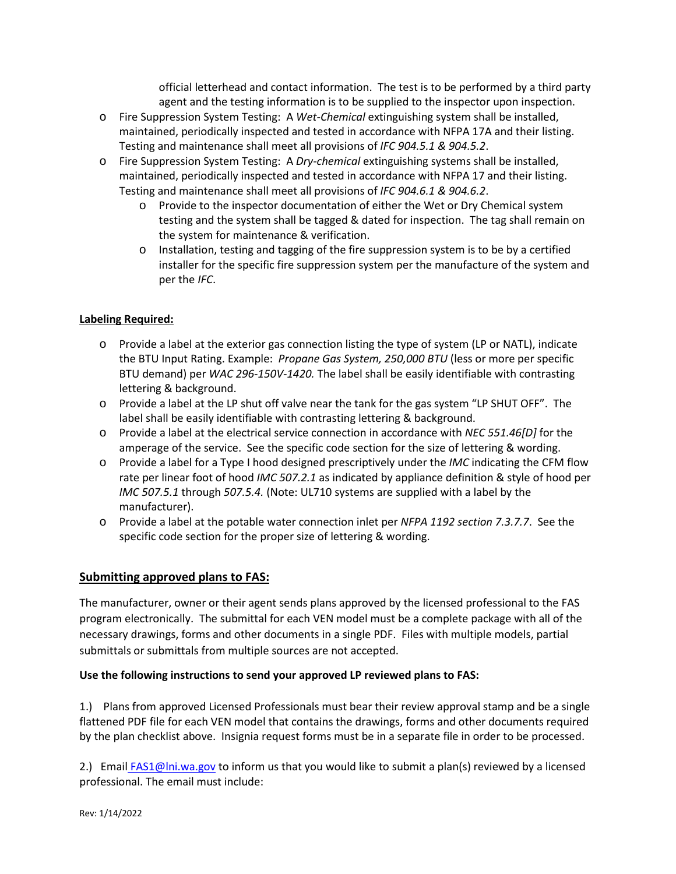official letterhead and contact information. The test is to be performed by a third party agent and the testing information is to be supplied to the inspector upon inspection.

- o Fire Suppression System Testing: A *Wet-Chemical* extinguishing system shall be installed, maintained, periodically inspected and tested in accordance with NFPA 17A and their listing. Testing and maintenance shall meet all provisions of *IFC 904.5.1 & 904.5.2*.
- o Fire Suppression System Testing: A *Dry-chemical* extinguishing systems shall be installed, maintained, periodically inspected and tested in accordance with NFPA 17 and their listing. Testing and maintenance shall meet all provisions of *IFC 904.6.1 & 904.6.2*.
	- o Provide to the inspector documentation of either the Wet or Dry Chemical system testing and the system shall be tagged & dated for inspection. The tag shall remain on the system for maintenance & verification.
	- o Installation, testing and tagging of the fire suppression system is to be by a certified installer for the specific fire suppression system per the manufacture of the system and per the *IFC*.

## **Labeling Required:**

- o Provide a label at the exterior gas connection listing the type of system (LP or NATL), indicate the BTU Input Rating. Example: *Propane Gas System, 250,000 BTU* (less or more per specific BTU demand) per *WAC 296-150V-1420.* The label shall be easily identifiable with contrasting lettering & background.
- o Provide a label at the LP shut off valve near the tank for the gas system "LP SHUT OFF". The label shall be easily identifiable with contrasting lettering & background.
- o Provide a label at the electrical service connection in accordance with *NEC 551.46[D]* for the amperage of the service. See the specific code section for the size of lettering & wording.
- o Provide a label for a Type I hood designed prescriptively under the *IMC* indicating the CFM flow rate per linear foot of hood *IMC 507.2.1* as indicated by appliance definition & style of hood per *IMC 507.5.1* through *507.5.4.* (Note: UL710 systems are supplied with a label by the manufacturer).
- o Provide a label at the potable water connection inlet per *NFPA 1192 section 7.3.7.7*. See the specific code section for the proper size of lettering & wording.

# **Submitting approved plans to FAS:**

The manufacturer, owner or their agent sends plans approved by the licensed professional to the FAS program electronically. The submittal for each VEN model must be a complete package with all of the necessary drawings, forms and other documents in a single PDF. Files with multiple models, partial submittals or submittals from multiple sources are not accepted.

## **Use the following instructions to send your approved LP reviewed plans to FAS:**

1.) Plans from approved Licensed Professionals must bear their review approval stamp and be a single flattened PDF file for each VEN model that contains the drawings, forms and other documents required by the plan checklist above. Insignia request forms must be in a separate file in order to be processed.

2.) Email [FAS1@lni.wa.gov](mailto:FAS1@lni.wa.gov) to inform us that you would like to submit a plan(s) reviewed by a licensed professional. The email must include: